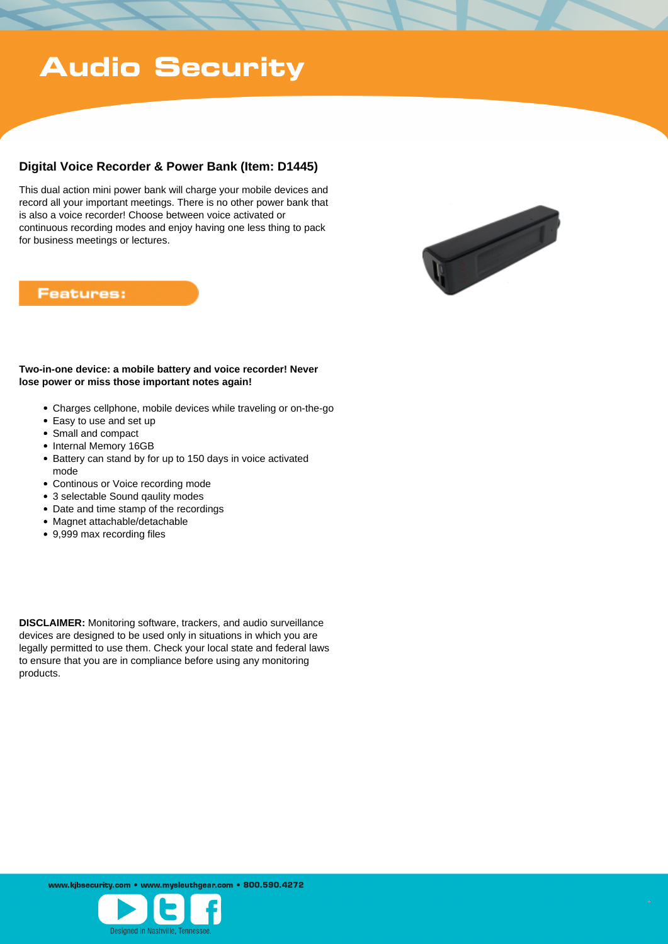## **Audio Security**

## **Digital Voice Recorder & Power Bank (Item: D1445)**

This dual action mini power bank will charge your mobile devices and record all your important meetings. There is no other power bank that is also a voice recorder! Choose between voice activated or continuous recording modes and enjoy having one less thing to pack for business meetings or lectures.



## **Features:**

#### **Two-in-one device: a mobile battery and voice recorder! Never lose power or miss those important notes again!**

- Charges cellphone, mobile devices while traveling or on-the-go
- Easy to use and set up
- Small and compact
- Internal Memory 16GB
- Battery can stand by for up to 150 days in voice activated mode
- Continous or Voice recording mode
- 3 selectable Sound qaulity modes
- Date and time stamp of the recordings
- Magnet attachable/detachable
- 9,999 max recording files

**DISCLAIMER:** Monitoring software, trackers, and audio surveillance devices are designed to be used only in situations in which you are legally permitted to use them. Check your local state and federal laws to ensure that you are in compliance before using any monitoring products.

www.kibsecurity.com • www.mysleuthgear.com • 800.590.4272